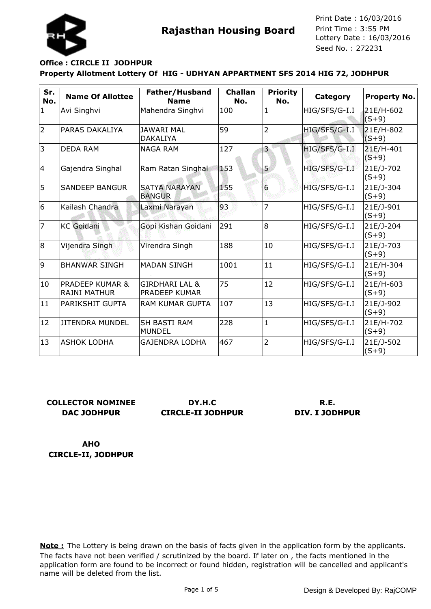

### **Property Allotment Lottery Of HIG - UDHYAN APPARTMENT SFS 2014 HIG 72, JODHPUR Office : CIRCLE II JODHPUR**

| Sr.<br>No.   | <b>Name Of Allottee</b>                           | Father/Husband<br><b>Name</b>          | <b>Challan</b><br>No. | <b>Priority</b><br>No.  | Category      | <b>Property No.</b>    |
|--------------|---------------------------------------------------|----------------------------------------|-----------------------|-------------------------|---------------|------------------------|
| $\mathbf{1}$ | Avi Singhvi                                       | Mahendra Singhvi                       | 100                   | $\mathbf{1}$            | HIG/SFS/G-I.I | 21E/H-602<br>$(S+9)$   |
| 2            | PARAS DAKALIYA                                    | <b>JAWARI MAL</b><br><b>DAKALIYA</b>   | 59                    | $\overline{2}$          | HIG/SFS/G-I.I | 21E/H-802<br>$(S+9)$   |
| 3            | <b>DEDA RAM</b>                                   | <b>NAGA RAM</b>                        | 127                   | $\overline{\mathbf{3}}$ | HIG/SFS/G-I.I | 21E/H-401<br>$(S + 9)$ |
| 4            | Gajendra Singhal                                  | Ram Ratan Singhal                      | 153                   | 5                       | HIG/SFS/G-I.I | 21E/J-702<br>$(S+9)$   |
| 5            | <b>SANDEEP BANGUR</b>                             | <b>SATYA NARAYAN</b><br><b>BANGUR</b>  | 155                   | $6\overline{6}$         | HIG/SFS/G-I.I | 21E/J-304<br>$(S+9)$   |
| 6            | Kailash Chandra                                   | Laxmi Narayan                          | 93                    | $\overline{7}$          | HIG/SFS/G-I.I | 21E/J-901<br>$(S+9)$   |
| 17           | <b>KC</b> Goidani                                 | Gopi Kishan Goidani                    | 291                   | 8                       | HIG/SFS/G-I.I | 21E/J-204<br>$(S+9)$   |
| 8            | Vijendra Singh                                    | Virendra Singh                         | 188                   | 10                      | HIG/SFS/G-I.I | 21E/J-703<br>$(S+9)$   |
| 9            | <b>BHANWAR SINGH</b>                              | <b>MADAN SINGH</b>                     | 1001                  | 11                      | HIG/SFS/G-I.I | 21E/H-304<br>$(S+9)$   |
| 10           | <b>PRADEEP KUMAR &amp;</b><br><b>RAJNI MATHUR</b> | GIRDHARI LAL &<br><b>PRADEEP KUMAR</b> | 75                    | 12                      | HIG/SFS/G-I.I | 21E/H-603<br>$(S+9)$   |
| $ 11\rangle$ | <b>PARIKSHIT GUPTA</b>                            | <b>RAM KUMAR GUPTA</b>                 | 107                   | 13                      | HIG/SFS/G-I.I | 21E/J-902<br>$(S+9)$   |
| 12           | <b>JITENDRA MUNDEL</b>                            | <b>SH BASTI RAM</b><br><b>MUNDEL</b>   | 228                   | $\mathbf{1}$            | HIG/SFS/G-I.I | 21E/H-702<br>$(S+9)$   |
| 13           | IASHOK LODHA                                      | <b>GAJENDRA LODHA</b>                  | 467                   | $\overline{2}$          | HIG/SFS/G-I.I | 21E/J-502<br>$(S+9)$   |

# **COLLECTOR NOMINEE DAC JODHPUR**

**DY.H.C CIRCLE-II JODHPUR**

### **R.E. DIV. I JODHPUR**

**AHO CIRCLE-II, JODHPUR**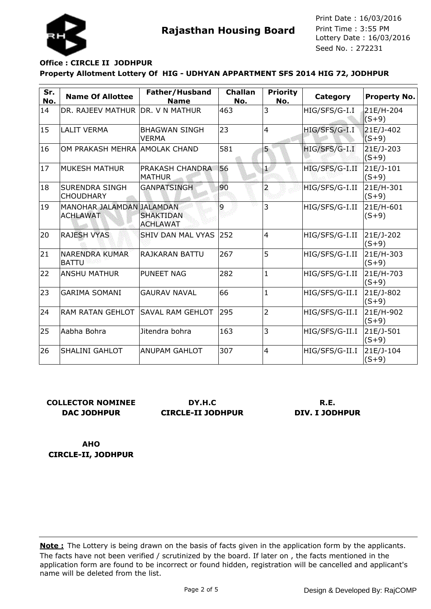

# **Property Allotment Lottery Of HIG - UDHYAN APPARTMENT SFS 2014 HIG 72, JODHPUR Office : CIRCLE II JODHPUR**

| Sr.<br>No. | <b>Name Of Allottee</b>                      | Father/Husband<br><b>Name</b>        | <b>Challan</b><br>No. | <b>Priority</b><br>No. | Category       | <b>Property No.</b>    |
|------------|----------------------------------------------|--------------------------------------|-----------------------|------------------------|----------------|------------------------|
| 14         | DR. RAJEEV MATHUR DR. V N MATHUR             |                                      | 463                   | 3                      | HIG/SFS/G-I.I  | 21E/H-204<br>$(S+9)$   |
| 15         | <b>LALIT VERMA</b>                           | <b>BHAGWAN SINGH</b><br><b>VERMA</b> | 23                    | $\overline{4}$         | HIG/SFS/G-I.I  | 21E/J-402<br>$(S+9)$   |
| 16         | OM PRAKASH MEHRA AMOLAK CHAND                |                                      | 581                   | 5                      | HIG/SFS/G-I.I  | 21E/J-203<br>$(S + 9)$ |
| 17         | <b>MUKESH MATHUR</b>                         | <b>PRAKASH CHANDRA</b><br>MATHUR     | 56                    | $\overline{1}$         | HIG/SFS/G-I.II | 21E/J-101<br>$(S + 9)$ |
| 18         | <b>SURENDRA SINGH</b><br><b>CHOUDHARY</b>    | <b>GANPATSINGH</b>                   | 90                    | $\overline{2}$         | HIG/SFS/G-I.II | 21E/H-301<br>$(S + 9)$ |
| 19         | MANOHAR JALAMDAN JALAMDAN<br><b>ACHLAWAT</b> | <b>SHAKTIDAN</b><br><b>ACHLAWAT</b>  | 9                     | 3                      | HIG/SFS/G-I.II | 21E/H-601<br>$(S+9)$   |
| 20         | <b>RAJESH VYAS</b>                           | <b>SHIV DAN MAL VYAS</b>             | 252                   | $\overline{4}$         | HIG/SFS/G-I.II | 21E/J-202<br>$(S+9)$   |
| 21         | <b>NARENDRA KUMAR</b><br><b>BATTU</b>        | RAJKARAN BATTU                       | 267                   | 5                      | HIG/SFS/G-I.II | 21E/H-303<br>$(S + 9)$ |
| 22         | IANSHU MATHUR                                | <b>PUNEET NAG</b>                    | 282                   | 1                      | HIG/SFS/G-I.II | 21E/H-703<br>$(S + 9)$ |
| 23         | <b>GARIMA SOMANI</b>                         | <b>GAURAV NAVAL</b>                  | 66                    | $\mathbf{1}$           | HIG/SFS/G-II.I | 21E/J-802<br>$(S + 9)$ |
| 24         | <b>RAM RATAN GEHLOT</b>                      | <b>SAVAL RAM GEHLOT</b>              | 295                   | $\overline{2}$         | HIG/SFS/G-II.I | 21E/H-902<br>$(S+9)$   |
| 25         | lAabha Bohra                                 | Jitendra bohra                       | 163                   | 3                      | HIG/SFS/G-II.I | 21E/J-501<br>$(S + 9)$ |
| 26         | <b>SHALINI GAHLOT</b>                        | IANUPAM GAHLOT                       | 307                   | $\overline{4}$         | HIG/SFS/G-II.I | 21E/J-104<br>$(S+9)$   |

# **COLLECTOR NOMINEE DAC JODHPUR**

**DY.H.C CIRCLE-II JODHPUR**

#### **R.E. DIV. I JODHPUR**

**AHO CIRCLE-II, JODHPUR**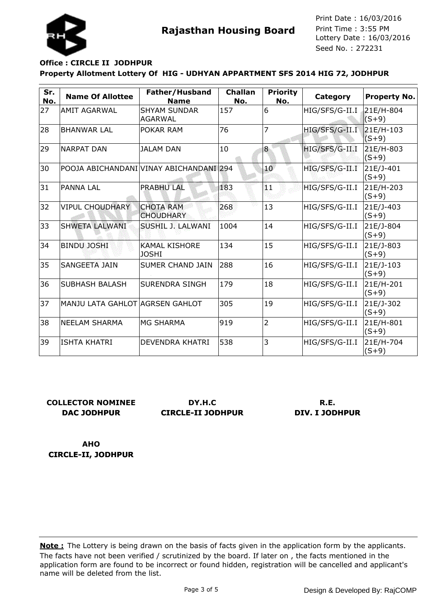

# **Property Allotment Lottery Of HIG - UDHYAN APPARTMENT SFS 2014 HIG 72, JODHPUR Office : CIRCLE II JODHPUR**

| Sr.<br>No. | <b>Name Of Allottee</b>         | Father/Husband<br><b>Name</b>           | <b>Challan</b><br>No. | <b>Priority</b><br>No. | Category       | <b>Property No.</b>    |
|------------|---------------------------------|-----------------------------------------|-----------------------|------------------------|----------------|------------------------|
| 27         | <b>AMIT AGARWAL</b>             | <b>SHYAM SUNDAR</b><br><b>AGARWAL</b>   | 157                   | 6                      | HIG/SFS/G-II.I | 21E/H-804<br>$(S+9)$   |
| 28         | <b>BHANWAR LAL</b>              | POKAR RAM                               | 76                    | 7                      | HIG/SFS/G-II.I | 21E/H-103<br>$(S+9)$   |
| 29         | <b>NARPAT DAN</b>               | <b>JALAM DAN</b>                        | 10                    | 8                      | HIG/SFS/G-II.I | 21E/H-803<br>$(S + 9)$ |
| 30         |                                 | POOJA ABICHANDANI VINAY ABICHANDANI 294 |                       | 10 <sup>°</sup>        | HIG/SFS/G-II.I | 21E/J-401<br>$(S+9)$   |
| 31         | <b>PANNA LAL</b>                | <b>PRABHU LAL</b>                       | 183                   | 11                     | HIG/SFS/G-II.I | 21E/H-203<br>$(S+9)$   |
| 32         | <b>VIPUL CHOUDHARY</b>          | <b>CHOTA RAM</b><br><b>CHOUDHARY</b>    | 268                   | 13                     | HIG/SFS/G-II.I | 21E/J-403<br>$(S+9)$   |
| 33         | <b>SHWETA LALWANI</b>           | SUSHIL J. LALWANI                       | 1004                  | 14                     | HIG/SFS/G-II.I | 21E/J-804<br>$(S+9)$   |
| 34         | <b>BINDU JOSHI</b>              | <b>KAMAL KISHORE</b><br><b>JOSHI</b>    | 134                   | 15                     | HIG/SFS/G-II.I | 21E/J-803<br>$(S+9)$   |
| 35         | <b>SANGEETA JAIN</b>            | <b>SUMER CHAND JAIN</b>                 | 288                   | 16                     | HIG/SFS/G-II.I | 21E/J-103<br>$(S+9)$   |
| 36         | SUBHASH BALASH                  | <b>SURENDRA SINGH</b>                   | 179                   | 18                     | HIG/SFS/G-II.I | 21E/H-201<br>$(S+9)$   |
| 37         | MANJU LATA GAHLOT AGRSEN GAHLOT |                                         | 305                   | 19                     | HIG/SFS/G-II.I | 21E/J-302<br>$(S+9)$   |
| 38         | <b>NEELAM SHARMA</b>            | <b>MG SHARMA</b>                        | 919                   | $\overline{2}$         | HIG/SFS/G-II.I | 21E/H-801<br>$(S+9)$   |
| 39         | <b>ISHTA KHATRI</b>             | <b>DEVENDRA KHATRI</b>                  | 538                   | 3                      | HIG/SFS/G-II.I | 21E/H-704<br>$(S+9)$   |

# **COLLECTOR NOMINEE DAC JODHPUR**

**DY.H.C CIRCLE-II JODHPUR**

### **R.E. DIV. I JODHPUR**

**AHO CIRCLE-II, JODHPUR**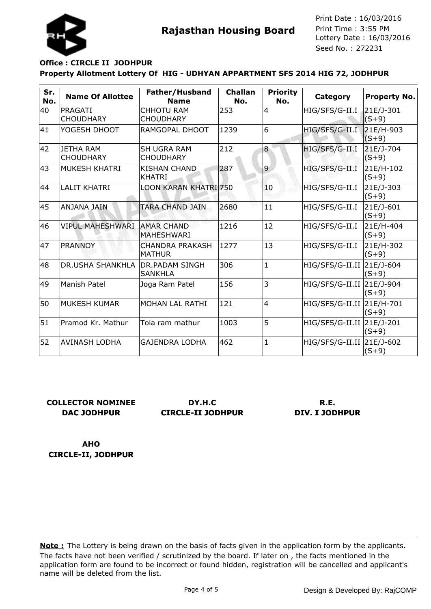

### **Property Allotment Lottery Of HIG - UDHYAN APPARTMENT SFS 2014 HIG 72, JODHPUR Office : CIRCLE II JODHPUR**

| Sr.<br>No. | <b>Name Of Allottee</b>              | Father/Husband<br><b>Name</b>           | <b>Challan</b><br>No. | <b>Priority</b><br>No. | Category                  | <b>Property No.</b>  |
|------------|--------------------------------------|-----------------------------------------|-----------------------|------------------------|---------------------------|----------------------|
| 40         | PRAGATI<br><b>CHOUDHARY</b>          | <b>CHHOTU RAM</b><br><b>CHOUDHARY</b>   | 253                   | 4                      | HIG/SFS/G-II.I            | 21E/J-301<br>$(S+9)$ |
| 41         | YOGESH DHOOT                         | RAMGOPAL DHOOT                          | 1239                  | 6                      | HIG/SFS/G-II.I            | 21E/H-903<br>$(S+9)$ |
| 42         | <b>JETHA RAM</b><br><b>CHOUDHARY</b> | <b>SH UGRA RAM</b><br><b>CHOUDHARY</b>  | 212                   | 8                      | HIG/SFS/G-II.I            | 21E/J-704<br>$(S+9)$ |
| 43         | MUKESH KHATRI                        | <b>KISHAN CHAND</b><br><b>KHATRI</b>    | 287                   | 9                      | HIG/SFS/G-II.I            | 21E/H-102<br>$(S+9)$ |
| 44         | <b>LALIT KHATRI</b>                  | <b>LOON KARAN KHATRI 750</b>            |                       | 10                     | HIG/SFS/G-II.I            | 21E/J-303<br>$(S+9)$ |
| 45         | AIAL ANALNA                          | TARA CHAND JAIN                         | 2680                  | 11                     | HIG/SFS/G-II.I            | 21E/J-601<br>$(S+9)$ |
| 46         | <b>VIPUL MAHESHWARI</b>              | <b>AMAR CHAND</b><br><b>MAHESHWARI</b>  | 1216                  | 12                     | HIG/SFS/G-II.I            | 21E/H-404<br>$(S+9)$ |
| 47         | <b>PRANNOY</b>                       | <b>CHANDRA PRAKASH</b><br><b>MATHUR</b> | 1277                  | 13                     | HIG/SFS/G-II.I            | 21E/H-302<br>$(S+9)$ |
| 48         | <b>DR.USHA SHANKHLA</b>              | IDR.PADAM SINGH<br><b>SANKHLA</b>       | 306                   | $\mathbf{1}$           | HIG/SFS/G-II.II 21E/J-604 | $(S+9)$              |
| 49         | Manish Patel                         | Joga Ram Patel                          | 156                   | 3                      | HIG/SFS/G-II.II 21E/J-904 | $(S+9)$              |
| 50         | <b>MUKESH KUMAR</b>                  | <b>MOHAN LAL RATHI</b>                  | 121                   | 4                      | HIG/SFS/G-II.II 21E/H-701 | $(S+9)$              |
| 51         | Pramod Kr. Mathur                    | Tola ram mathur                         | 1003                  | 5                      | HIG/SFS/G-II.II 21E/J-201 | $(S+9)$              |
| 52         | <b>AVINASH LODHA</b>                 | <b>GAJENDRA LODHA</b>                   | 462                   | $\mathbf{1}$           | HIG/SFS/G-II.II 21E/J-602 | $(S+9)$              |

# **COLLECTOR NOMINEE DAC JODHPUR**

**DY.H.C CIRCLE-II JODHPUR**

### **R.E. DIV. I JODHPUR**

**AHO CIRCLE-II, JODHPUR**